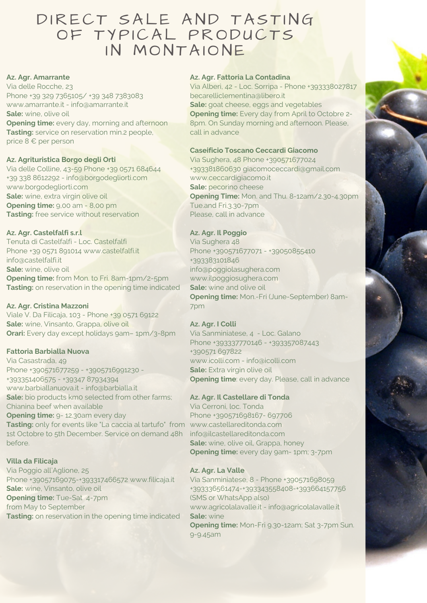# DIRECT SALE AND TASTING OF TYPICAL PRODUCTS IN MONTAIONE

#### **Az. Agr. Amarrante**

Via delle Rocche, 23 Phone +39 329 7365105/ +39 348 7383083 www.amarrante.it - info@amarrante.it **Sale:** wine, olive oil **Opening time:** every day, morning and afternoon

**Tasting:** service on reservation min.2 people, price 8 € per person

#### **Az. Agrituristica Borgo degli Orti**

Via delle Colline, 43-59 Phone +39 0571 684644 +39 338 8612292 - info@borgodegliorti.com www.borgodegliorti.com **Sale:** wine, extra virgin olive oil **Opening time:** 9,00 am - 8,00 pm **Tasting:** free service without reservation

#### **Az. Agr. Castelfalfi s.r.l**

Tenuta di Castelfalfi - Loc. Castelfalfi Phone +39 0571 891014 www.castelfalfi.it info@castelfalfi.it **Sale:** wine, olive oil **Opening time:** from Mon. to Fri. 8am-1pm/2-5pm **Tasting:** on reservation in the opening time indicated

#### **Az. Agr. Cristina Mazzoni**

Viale V. Da Filicaja, 103 - Phone +39 0571 69122 **Sale:** wine, Vinsanto, Grappa, olive oil **Orari:** Every day except holidays gam-1pm/3-8pm

#### **Fattoria Barbialla Nuova**

Via Casastrada, 49 Phone +390571677259 - +3905716991230 -+393351406575 - +39347 87934394 www.barbiallanuova.it - info@barbialla.it **Sale:** bio products km0 selected from other farms; Chianina beef when available **Opening time:** 9- 12.30am every day **Tasting:** only for events like "La caccia al tartufo" from www.castellareditonda.com 1st Octobre to 5th December. Service on demand 48h before.

#### **Villa da Filicaja**

Via Poggio all'Aglione, 25 Phone +39057169075-+393317466572 www.filicaja.it **Sale:** wine, Vinsanto, olive oil **Opening time:** Tue-Sat 4-7pm from May to September **Tasting:** on reservation in the opening time indicated

#### **Az. Agr. Fattoria La Contadina**

Via Alberi, 42 - Loc. Sorripa - Phone +393338027817 becarelliclementina@libero.it **Sale:** goat cheese, eggs and vegetables **Opening time:** Every day from April to Octobre 2- 8pm. On Sunday morning and afternoon. Please, call in advance

## **Caseificio Toscano Ceccardi Giacomo**

Via Sughera, 48 Phone +390571677024 +393381860630 giacomoceccardi@gmail.com www.ceccardigiacomo.it **Sale:** pecorino cheese **Opening Time:** Mon. and Thu. 8-12am/2.30-4.30pm Tue.and Fri.3.30-7pm Please, call in advance

#### **Az. Agr. Il Poggio**

Via Sughera 48 Phone +390571677071 - +39050855410 +393383101846 info@poggiolasughera.com www.ilpoggiosughera.com **Sale:** wine and olive oil **Opening time:** Mon.-Fri (June-September) 8am-7pm

#### **Az. Agr. I Colli**

Via Sanminiatese, 4 - Loc. Galano Phone +393337770146 - +393357087443 +390571 697822 www.icolli.com - info@icolli.com **Sale:** Extra virgin olive oil **Opening time**: every day. Please, call in advance

#### **Az. Agr. Il Castellare di Tonda**

Via Cerroni, loc. Tonda Phone +390571698167- 697706 info@ilcastellareditonda.com **Sale:** wine, olive oil, Grappa, honey **Opening time:** every day 9am- 1pm; 3-7pm

#### **Az. Agr. La Valle**

Via Sanminiatese, 8 - Phone +390571698059 +393336561474-+393343558408-+393664157756 (SMS or WhatsApp also) www.agricolalavalle.it - info@agricolalavalle.it **Sale:** wine **Opening time:** Mon-Fri 9.30-12am; Sat 3-7pm Sun. 9-9.45am